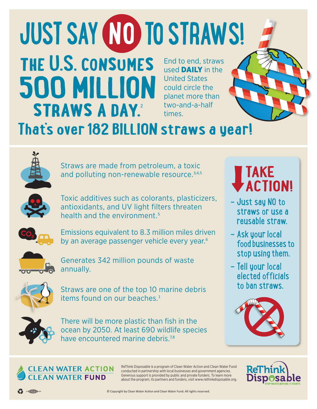## End to end, straws used **DAILY** in the United States could circle the planet more than two-and-a-half times.  **the U.S. consumes 500 MILLION straws a day.**<sup>2</sup> **That's over 182 BILLION straws a year! JUST SAY NO TO STRAWS!**



Straws are made from petroleum, a toxic and polluting non-renewable resource.<sup>3,4,5</sup>



Toxic additives such as colorants, plasticizers, antioxidants, and UV light filters threaten health and the environment.<sup>5</sup>



Emissions equivalent to 8.3 million miles driven by an average passenger vehicle every year.<sup>6</sup>



Generates 342 million pounds of waste annually.



Straws are one of the top 10 marine debris items found on our beaches.<sup>1</sup>



**CLEAN WATER ACTION FAN WATER FUND** 

There will be more plastic than fish in the ocean by 2050. At least 690 wildlife species have encountered marine debris.<sup>7,8</sup>



- Just say NO to straws or use a reusable straw.
- Ask your local food businesses to stop using them.
- Tell your local elected officials to ban straws.





ReThink Disposable is a program of Clean Water Action and Clean Water Fund conducted in partnership with local businesses and government agencies. Generous support is provided by public and private funders. To learn more about the program, its partners and funders, visit www.rethinkdisposable.org.